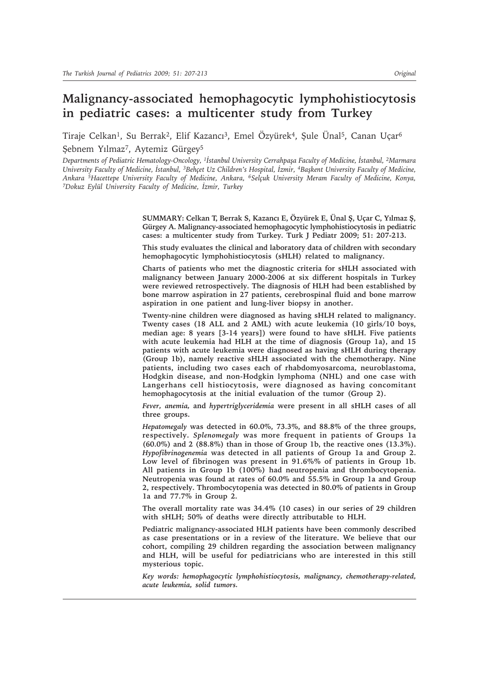# **Malignancy-associated hemophagocytic lymphohistiocytosis in pediatric cases: a multicenter study from Turkey**

Tiraje Celkan<sup>1</sup>, Su Berrak<sup>2</sup>, Elif Kazancı<sup>3</sup>, Emel Özyürek<sup>4</sup>, Şule Ünal<sup>5</sup>, Canan Uçar<sup>6</sup>

Şebnem Yılmaz<sup>7</sup>, Aytemiz Gürgey<sup>5</sup>

*Departments of Pediatric Hematology-Oncology, 1İstanbul University Cerrahpaşa Faculty of Medicine, İstanbul, 2Marmara University Faculty of Medicine, İstanbul, 3Behçet Uz Children's Hospital, İzmir, 4Başkent University Faculty of Medicine, Ankara 5Hacettepe University Faculty of Medicine, Ankara, 6Selçuk University Meram Faculty of Medicine, Konya, 7Dokuz Eylül University Faculty of Medicine, İzmir, Turkey*

> **SUMMARY: Celkan T, Berrak S, Kazancı E, Özyürek E, Ünal Ş, Uçar C, Yılmaz Ş, Gürgey A. Malignancy-associated hemophagocytic lymphohistiocytosis in pediatric cases: a multicenter study from Turkey. Turk J Pediatr 2009; 51: 207-213.**

> **This study evaluates the clinical and laboratory data of children with secondary hemophagocytic lymphohistiocytosis (sHLH) related to malignancy.**

> **Charts of patients who met the diagnostic criteria for sHLH associated with malignancy between January 2000-2006 at six different hospitals in Turkey were reviewed retrospectively. The diagnosis of HLH had been established by bone marrow aspiration in 27 patients, cerebrospinal fluid and bone marrow aspiration in one patient and lung-liver biopsy in another.**

> **Twenty-nine children were diagnosed as having sHLH related to malignancy. Twenty cases (18 ALL and 2 AML) with acute leukemia (10 girls/10 boys, median age: 8 years [3-14 years]) were found to have sHLH. Five patients with acute leukemia had HLH at the time of diagnosis (Group 1a), and 15 patients with acute leukemia were diagnosed as having sHLH during therapy (Group 1b), namely reactive sHLH associated with the chemotherapy. Nine patients, including two cases each of rhabdomyosarcoma, neuroblastoma, Hodgkin disease, and non-Hodgkin lymphoma (NHL) and one case with Langerhans cell histiocytosis, were diagnosed as having concomitant hemophagocytosis at the initial evaluation of the tumor (Group 2).**

> *Fever, anemia,* **and** *hypertriglyceridemia* **were present in all sHLH cases of all three groups.**

> *Hepatomegaly* **was detected in 60.0%, 73.3%, and 88.8% of the three groups, respectively.** *Splenomegaly* **was more frequent in patients of Groups 1a (60.0%) and 2 (88.8%) than in those of Group 1b, the reactive ones (13.3%).**  *Hypofibrinogenemia* **was detected in all patients of Group 1a and Group 2. Low level of fibrinogen was present in 91.6%% of patients in Group 1b. All patients in Group 1b (100%) had neutropenia and thrombocytopenia. Neutropenia was found at rates of 60.0% and 55.5% in Group 1a and Group 2, respectively. Thrombocytopenia was detected in 80.0% of patients in Group 1a and 77.7% in Group 2.**

> **The overall mortality rate was 34.4% (10 cases) in our series of 29 children with sHLH; 50% of deaths were directly attributable to HLH.**

> **Pediatric malignancy-associated HLH patients have been commonly described as case presentations or in a review of the literature. We believe that our cohort, compiling 29 children regarding the association between malignancy and HLH, will be useful for pediatricians who are interested in this still mysterious topic.**

> *Key words: hemophagocytic lymphohistiocytosis, malignancy, chemotherapy-related, acute leukemia, solid tumors.*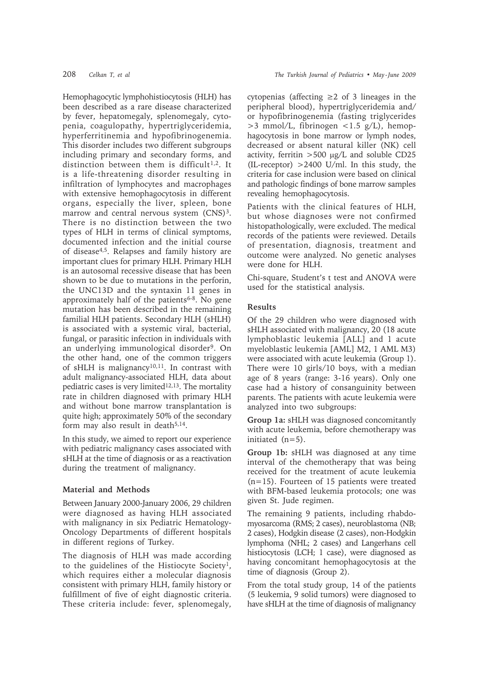Hemophagocytic lymphohistiocytosis (HLH) has been described as a rare disease characterized by fever, hepatomegaly, splenomegaly, cytopenia, coagulopathy, hypertriglyceridemia, hyperferritinemia and hypofibrinogenemia. This disorder includes two different subgroups including primary and secondary forms, and distinction between them is difficult<sup>1,2</sup>. It is a life-threatening disorder resulting in infiltration of lymphocytes and macrophages with extensive hemophagocytosis in different organs, especially the liver, spleen, bone marrow and central nervous system (CNS)<sup>3</sup>. There is no distinction between the two types of HLH in terms of clinical symptoms, documented infection and the initial course of disease4,5. Relapses and family history are important clues for primary HLH. Primary HLH is an autosomal recessive disease that has been shown to be due to mutations in the perforin, the UNC13D and the syntaxin 11 genes in approximately half of the patients<sup> $6-8$ </sup>. No gene mutation has been described in the remaining familial HLH patients. Secondary HLH (sHLH) is associated with a systemic viral, bacterial, fungal, or parasitic infection in individuals with an underlying immunological disorder<sup>9</sup>. On the other hand, one of the common triggers of sHLH is malignancy<sup>10,11</sup>. In contrast with adult malignancy-associated HLH, data about pediatric cases is very limited<sup>12,13</sup>. The mortality rate in children diagnosed with primary HLH and without bone marrow transplantation is quite high; approximately 50% of the secondary form may also result in death $5.14$ .

In this study, we aimed to report our experience with pediatric malignancy cases associated with sHLH at the time of diagnosis or as a reactivation during the treatment of malignancy.

# **Material and Methods**

Between January 2000-January 2006, 29 children were diagnosed as having HLH associated with malignancy in six Pediatric Hematology-Oncology Departments of different hospitals in different regions of Turkey.

The diagnosis of HLH was made according to the guidelines of the Histiocyte Society1, which requires either a molecular diagnosis consistent with primary HLH, family history or fulfillment of five of eight diagnostic criteria. These criteria include: fever, splenomegaly,

cytopenias (affecting  $\geq 2$  of 3 lineages in the peripheral blood), hypertriglyceridemia and/ or hypofibrinogenemia (fasting triglycerides  $>3$  mmol/L, fibrinogen  $<1.5$  g/L), hemophagocytosis in bone marrow or lymph nodes, decreased or absent natural killer (NK) cell activity, ferritin  $>500 \mu g/L$  and soluble CD25 (IL-receptor)  $>2400$  U/ml. In this study, the criteria for case inclusion were based on clinical and pathologic findings of bone marrow samples revealing hemophagocytosis.

Patients with the clinical features of HLH, but whose diagnoses were not confirmed histopathologically, were excluded. The medical records of the patients were reviewed. Details of presentation, diagnosis, treatment and outcome were analyzed. No genetic analyses were done for HLH.

Chi-square, Student's t test and ANOVA were used for the statistical analysis.

## **Results**

Of the 29 children who were diagnosed with sHLH associated with malignancy, 20 (18 acute lymphoblastic leukemia [ALL] and 1 acute myeloblastic leukemia [AML] M2, 1 AML M3) were associated with acute leukemia (Group 1). There were 10 girls/10 boys, with a median age of 8 years (range: 3-16 years). Only one case had a history of consanguinity between parents. The patients with acute leukemia were analyzed into two subgroups:

**Group 1a:** sHLH was diagnosed concomitantly with acute leukemia, before chemotherapy was initiated (n=5).

**Group 1b:** sHLH was diagnosed at any time interval of the chemotherapy that was being received for the treatment of acute leukemia (n=15). Fourteen of 15 patients were treated with BFM-based leukemia protocols; one was given St. Jude regimen.

The remaining 9 patients, including rhabdomyosarcoma (RMS; 2 cases), neuroblastoma (NB; 2 cases), Hodgkin disease (2 cases), non-Hodgkin lymphoma (NHL; 2 cases) and Langerhans cell histiocytosis (LCH; 1 case), were diagnosed as having concomitant hemophagocytosis at the time of diagnosis (Group 2).

From the total study group, 14 of the patients (5 leukemia, 9 solid tumors) were diagnosed to have sHLH at the time of diagnosis of malignancy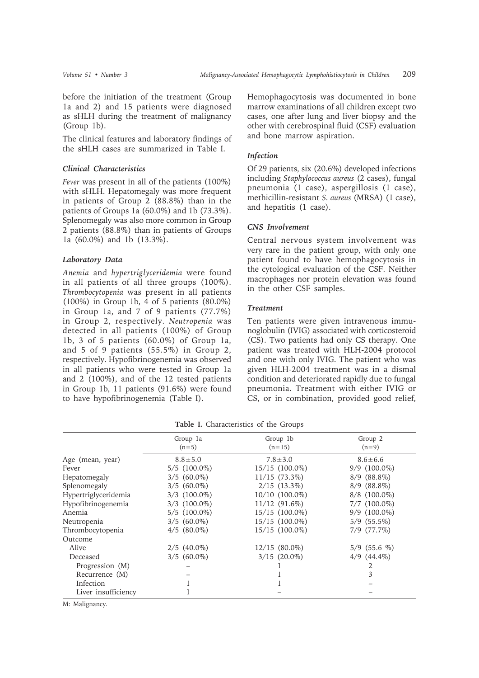before the initiation of the treatment (Group 1a and 2) and 15 patients were diagnosed as sHLH during the treatment of malignancy (Group 1b).

The clinical features and laboratory findings of the sHLH cases are summarized in Table I.

#### *Clinical Characteristics*

*Fever* was present in all of the patients (100%) with sHLH. Hepatomegaly was more frequent in patients of Group 2 (88.8%) than in the patients of Groups 1a (60.0%) and 1b (73.3%). Splenomegaly was also more common in Group 2 patients (88.8%) than in patients of Groups 1a (60.0%) and 1b (13.3%).

# *Laboratory Data*

*Anemia* and *hypertriglyceridemia* were found in all patients of all three groups (100%). *Thrombocytopenia* was present in all patients (100%) in Group 1b, 4 of 5 patients (80.0%) in Group 1a, and 7 of 9 patients (77.7%) in Group 2, respectively. *Neutropenia* was detected in all patients (100%) of Group 1b, 3 of 5 patients (60.0%) of Group 1a, and 5 of 9 patients (55.5%) in Group 2, respectively. Hypofibrinogenemia was observed in all patients who were tested in Group 1a and 2 (100%), and of the 12 tested patients in Group 1b, 11 patients (91.6%) were found to have hypofibrinogenemia (Table I).

Hemophagocytosis was documented in bone marrow examinations of all children except two cases, one after lung and liver biopsy and the other with cerebrospinal fluid (CSF) evaluation and bone marrow aspiration.

### *Infection*

Of 29 patients, six (20.6%) developed infections including *Staphylococcus aureus* (2 cases), fungal pneumonia (1 case), aspergillosis (1 case), methicillin-resistant *S. aureus* (MRSA) (1 case), and hepatitis (1 case).

# *CNS Involvement*

Central nervous system involvement was very rare in the patient group, with only one patient found to have hemophagocytosis in the cytological evaluation of the CSF. Neither macrophages nor protein elevation was found in the other CSF samples.

### *Treatment*

Ten patients were given intravenous immunoglobulin (IVIG) associated with corticosteroid (CS). Two patients had only CS therapy. One patient was treated with HLH-2004 protocol and one with only IVIG. The patient who was given HLH-2004 treatment was in a dismal condition and deteriorated rapidly due to fungal pneumonia. Treatment with either IVIG or CS, or in combination, provided good relief,

|                      | Group 1a       | Group 1b          | Group 2           |  |
|----------------------|----------------|-------------------|-------------------|--|
|                      | $(n=5)$        | $(n=15)$          | $(n=9)$           |  |
| Age (mean, year)     | $8.8 \pm 5.0$  | $7.8 \pm 3.0$     | $8.6 \pm 6.6$     |  |
| Fever                | $5/5$ (100.0%) | 15/15 (100.0%)    | $9/9$ (100.0%)    |  |
| Hepatomegaly         | $3/5$ (60.0%)  | $11/15$ (73.3%)   | $8/9$ $(88.8\%)$  |  |
| Splenomegaly         | $3/5$ (60.0%)  | $2/15$ $(13.3\%)$ | $8/9$ $(88.8\%)$  |  |
| Hypertriglyceridemia | $3/3$ (100.0%) | 10/10 (100.0%)    | $8/8$ (100.0%)    |  |
| Hypofibrinogenemia   | $3/3$ (100.0%) | $11/12$ (91.6%)   | $7/7$ $(100.0\%)$ |  |
| Anemia               | $5/5$ (100.0%) | 15/15 (100.0%)    | $9/9$ (100.0%)    |  |
| Neutropenia          | $3/5$ (60.0%)  | 15/15 (100.0%)    | $5/9$ $(55.5\%)$  |  |
| Thrombocytopenia     | $4/5$ (80.0%)  | 15/15 (100.0%)    | $7/9$ $(77.7\%)$  |  |
| Outcome              |                |                   |                   |  |
| Alive                | $2/5$ (40.0%)  | $12/15$ (80.0%)   | $5/9$ (55.6 %)    |  |
| Deceased             | $3/5$ (60.0%)  | $3/15$ $(20.0\%)$ | $4/9$ $(44.4\%)$  |  |
| Progression (M)      |                |                   | 2                 |  |
| Recurrence (M)       |                |                   | 3                 |  |
| Infection            |                |                   |                   |  |
| Liver insufficiency  |                |                   |                   |  |

**Table I.** Characteristics of the Groups

M: Malignancy.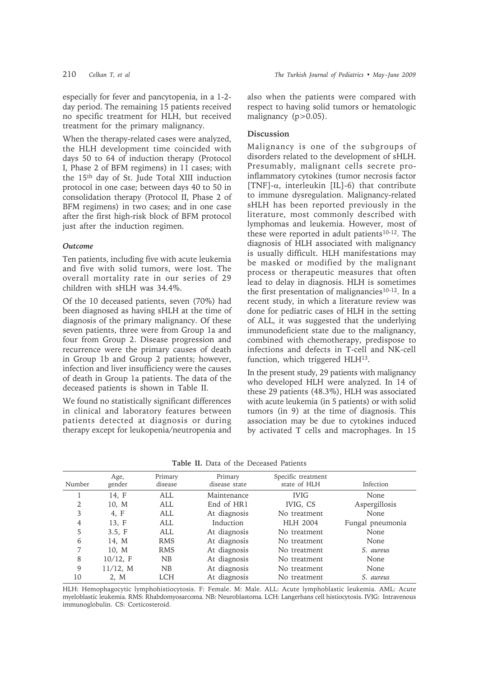especially for fever and pancytopenia, in a 1-2 day period. The remaining 15 patients received no specific treatment for HLH, but received treatment for the primary malignancy.

When the therapy-related cases were analyzed, the HLH development time coincided with days 50 to 64 of induction therapy (Protocol I, Phase 2 of BFM regimens) in 11 cases; with the 15th day of St. Jude Total XIII induction protocol in one case; between days 40 to 50 in consolidation therapy (Protocol II, Phase 2 of BFM regimens) in two cases; and in one case after the first high-risk block of BFM protocol just after the induction regimen.

### *Outcome*

Ten patients, including five with acute leukemia and five with solid tumors, were lost. The overall mortality rate in our series of 29 children with sHLH was 34.4%.

Of the 10 deceased patients, seven (70%) had been diagnosed as having sHLH at the time of diagnosis of the primary malignancy. Of these seven patients, three were from Group 1a and four from Group 2. Disease progression and recurrence were the primary causes of death in Group 1b and Group 2 patients; however, infection and liver insufficiency were the causes of death in Group 1a patients. The data of the deceased patients is shown in Table II.

We found no statistically significant differences in clinical and laboratory features between patients detected at diagnosis or during therapy except for leukopenia/neutropenia and also when the patients were compared with respect to having solid tumors or hematologic malignancy (p>0.05).

# **Discussion**

Malignancy is one of the subgroups of disorders related to the development of sHLH. Presumably, malignant cells secrete proinflammatory cytokines (tumor necrosis factor [TNF]-α, interleukin [IL]-6) that contribute to immune dysregulation. Malignancy-related sHLH has been reported previously in the literature, most commonly described with lymphomas and leukemia. However, most of these were reported in adult patients<sup>10-12</sup>. The diagnosis of HLH associated with malignancy is usually difficult. HLH manifestations may be masked or modified by the malignant process or therapeutic measures that often lead to delay in diagnosis. HLH is sometimes the first presentation of malignancies $10-12$ . In a recent study, in which a literature review was done for pediatric cases of HLH in the setting of ALL, it was suggested that the underlying immunodeficient state due to the malignancy, combined with chemotherapy, predispose to infections and defects in T-cell and NK-cell function, which triggered HLH<sup>13</sup>.

In the present study, 29 patients with malignancy who developed HLH were analyzed. In 14 of these 29 patients (48.3%), HLH was associated with acute leukemia (in 5 patients) or with solid tumors (in 9) at the time of diagnosis. This association may be due to cytokines induced by activated T cells and macrophages. In 15

| Number         | Age,<br>gender | Primary<br>disease | Primary<br>disease state | Specific treatment<br>state of HLH | Infection        |
|----------------|----------------|--------------------|--------------------------|------------------------------------|------------------|
|                | 14. F          | ALL                | Maintenance              | <b>IVIG</b>                        | None             |
| 2              | 10, M          | ALL                | End of HR1               | IVIG, CS                           | Aspergillosis    |
| 3              | 4, F           | ALL                | At diagnosis             | No treatment                       | None             |
| $\overline{4}$ | 13, F          | ALL                | Induction                | <b>HLH 2004</b>                    | Fungal pneumonia |
| 5              | 3.5, F         | ALL                | At diagnosis             | No treatment                       | None             |
| 6              | 14, M          | <b>RMS</b>         | At diagnosis             | No treatment                       | None             |
| 7              | 10, M          | <b>RMS</b>         | At diagnosis             | No treatment                       | S. aureus        |
| 8              | $10/12$ , F    | NB                 | At diagnosis             | No treatment                       | None             |
| 9              | $11/12$ , M    | NB                 | At diagnosis             | No treatment                       | None             |
| 10             | 2, M           | <b>LCH</b>         | At diagnosis             | No treatment                       | S. aureus        |
|                |                |                    |                          |                                    |                  |

**Table II.** Data of the Deceased Patients

HLH: Hemophagocytic lymphohistiocytosis. F: Female. M: Male. ALL: Acute lymphoblastic leukemia. AML: Acute myeloblastic leukemia. RMS: Rhabdomyosarcoma. NB: Neuroblastoma. LCH: Langerhans cell histiocytosis. IVIG: Intravenous immunoglobulin. CS: Corticosteroid.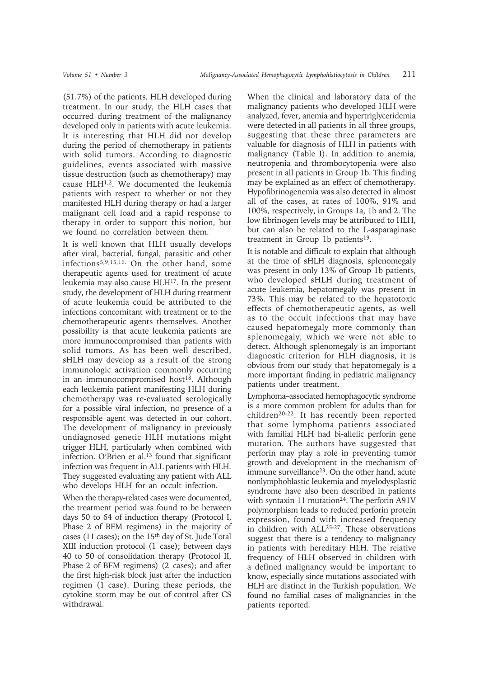(51.7%) of the patients, HLH developed during treatment. In our study, the HLH cases that occurred during treatment of the malignancy developed only in patients with acute leukemia. It is interesting that HLH did not develop during the period of chemotherapy in patients with solid tumors. According to diagnostic guidelines, events associated with massive tissue destruction (such as chemotherapy) may cause HLH1,2. We documented the leukemia patients with respect to whether or not they manifested HLH during therapy or had a larger malignant cell load and a rapid response to therapy in order to support this notion, but we found no correlation between them.

It is well known that HLH usually develops after viral, bacterial, fungal, parasitic and other infections5,9,15,16. On the other hand, some therapeutic agents used for treatment of acute leukemia may also cause HLH17. In the present study, the development of HLH during treatment of acute leukemia could be attributed to the infections concomitant with treatment or to the chemotherapeutic agents themselves. Another possibility is that acute leukemia patients are more immunocompromised than patients with solid tumors. As has been well described, sHLH may develop as a result of the strong immunologic activation commonly occurring in an immunocompromised host<sup>18</sup>. Although each leukemia patient manifesting HLH during chemotherapy was re-evaluated serologically for a possible viral infection, no presence of a responsible agent was detected in our cohort. The development of malignancy in previously undiagnosed genetic HLH mutations might trigger HLH, particularly when combined with infection. O'Brien et al.<sup>13</sup> found that significant infection was frequent in ALL patients with HLH. They suggested evaluating any patient with ALL who develops HLH for an occult infection.

When the therapy-related cases were documented, the treatment period was found to be between days 50 to 64 of induction therapy (Protocol I, Phase 2 of BFM regimens) in the majority of cases (11 cases); on the 15th day of St. Jude Total XIII induction protocol (1 case); between days 40 to 50 of consolidation therapy (Protocol II, Phase 2 of BFM regimens) (2 cases); and after the first high-risk block just after the induction regimen (1 case). During these periods, the cytokine storm may be out of control after CS withdrawal.

When the clinical and laboratory data of the malignancy patients who developed HLH were analyzed, fever, anemia and hypertriglyceridemia were detected in all patients in all three groups, suggesting that these three parameters are valuable for diagnosis of HLH in patients with malignancy (Table I). In addition to anemia, neutropenia and thrombocytopenia were also present in all patients in Group 1b. This finding may be explained as an effect of chemotherapy. Hypofibrinogenemia was also detected in almost all of the cases, at rates of 100%, 91% and 100%, respectively, in Groups 1a, 1b and 2. The low fibrinogen levels may be attributed to HLH, but can also be related to the L-asparaginase treatment in Group 1b patients<sup>19</sup>.

It is notable and difficult to explain that although at the time of sHLH diagnosis, splenomegaly was present in only 13% of Group 1b patients, who developed sHLH during treatment of acute leukemia, hepatomegaly was present in 73%. This may be related to the hepatotoxic effects of chemotherapeutic agents, as well as to the occult infections that may have caused hepatomegaly more commonly than splenomegaly, which we were not able to detect. Although splenomegaly is an important diagnostic criterion for HLH diagnosis, it is obvious from our study that hepatomegaly is a more important finding in pediatric malignancy patients under treatment.

Lymphoma–associated hemophagocytic syndrome is a more common problem for adults than for children20-22. It has recently been reported that some lymphoma patients associated with familial HLH had bi-allelic perforin gene mutation. The authors have suggested that perforin may play a role in preventing tumor growth and development in the mechanism of immune surveillance23. On the other hand, acute nonlymphoblastic leukemia and myelodysplastic syndrome have also been described in patients with syntaxin 11 mutation<sup>24</sup>. The perforin A91V polymorphism leads to reduced perforin protein expression, found with increased frequency in children with ALL25-27. These observations suggest that there is a tendency to malignancy in patients with hereditary HLH. The relative frequency of HLH observed in children with a defined malignancy would be important to know, especially since mutations associated with HLH are distinct in the Turkish population. We found no familial cases of malignancies in the patients reported.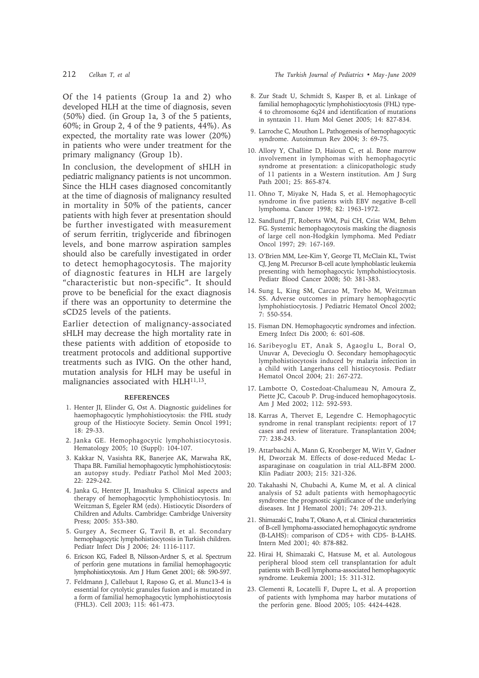Of the 14 patients (Group 1a and 2) who developed HLH at the time of diagnosis, seven (50%) died. (in Group 1a, 3 of the 5 patients, 60%; in Group 2, 4 of the 9 patients, 44%). As expected, the mortality rate was lower (20%) in patients who were under treatment for the primary malignancy (Group 1b).

In conclusion, the development of sHLH in pediatric malignancy patients is not uncommon. Since the HLH cases diagnosed concomitantly at the time of diagnosis of malignancy resulted in mortality in 50% of the patients, cancer patients with high fever at presentation should be further investigated with measurement of serum ferritin, triglyceride and fibrinogen levels, and bone marrow aspiration samples should also be carefully investigated in order to detect hemophagocytosis. The majority of diagnostic features in HLH are largely "characteristic but non-specific". It should prove to be beneficial for the exact diagnosis if there was an opportunity to determine the sCD25 levels of the patients.

Earlier detection of malignancy-associated sHLH may decrease the high mortality rate in these patients with addition of etoposide to treatment protocols and additional supportive treatments such as IVIG. On the other hand, mutation analysis for HLH may be useful in malignancies associated with HLH<sup>11,13</sup>.

#### **REFERENCES**

- 1. Henter JI, Elinder G, Ost A. Diagnostic guidelines for haemophagocytic lymphohistiocytosis: the FHL study group of the Histiocyte Society. Semin Oncol 1991; 18: 29-33.
- 2. Janka GE. Hemophagocytic lymphohistiocytosis. Hematology 2005; 10 (Suppl): 104-107.
- 3. Kakkar N, Vasishta RK, Banerjee AK, Marwaha RK, Thapa BR. Familial hemophagocytic lymphohistiocytosis: an autopsy study. Pediatr Pathol Mol Med 2003; 22: 229-242.
- 4. Janka G, Henter JI, Imashuku S. Clinical aspects and therapy of hemophagocytic lymphohistiocytosis. In: Weitzman S, Egeler RM (eds). Histiocytic Disorders of Children and Adults. Cambridge: Cambridge University Press; 2005: 353-380.
- 5. Gurgey A, Secmeer G, Tavil B, et al. Secondary hemophagocytic lymphohistiocytosis in Turkish children. Pediatr Infect Dis J 2006; 24: 1116-1117.
- 6. Ericson KG, Fadeel B, Nilsson-Ardner S, et al. Spectrum of perforin gene mutations in familial hemophagocytic lymphohistiocytosis. Am J Hum Genet 2001; 68: 590-597.
- 7. Feldmann J, Callebaut I, Raposo G, et al. Munc13-4 is essential for cytolytic granules fusion and is mutated in a form of familial hemophagocytic lymphohistiocytosis (FHL3). Cell 2003; 115: 461-473.

#### 212 *Celkan T, et al The Turkish Journal of Pediatrics • May - June 2009*

- 8. Zur Stadt U, Schmidt S, Kasper B, et al. Linkage of familial hemophagocytic lymphohistiocytosis (FHL) type-4 to chromosome 6q24 and identification of mutations in syntaxin 11. Hum Mol Genet 2005; 14: 827-834.
- 9. Larroche C, Mouthon L. Pathogenesis of hemophagocytic syndrome. Autoimmun Rev 2004; 3: 69-75.
- 10. Allory Y, Challine D, Haioun C, et al. Bone marrow involvement in lymphomas with hemophagocytic syndrome at presentation: a clinicopathologic study of 11 patients in a Western institution. Am J Surg Path 2001; 25: 865-874.
- 11. Ohno T, Miyake N, Hada S, et al. Hemophagocytic syndrome in five patients with EBV negative B-cell lymphoma. Cancer 1998; 82: 1963-1972.
- 12. Sandlund JT, Roberts WM, Pui CH, Crist WM, Behm FG. Systemic hemophagocytosis masking the diagnosis of large cell non-Hodgkin lymphoma. Med Pediatr Oncol 1997; 29: 167-169.
- 13. O'Brien MM, Lee-Kim Y, George TI, McClain KL, Twist CJ, Jeng M. Precursor B-cell acute lymphoblastic leukemia presenting with hemophagocytic lymphohistiocytosis. Pediatr Blood Cancer 2008; 50: 381-383.
- 14. Sung L, King SM, Carcao M, Trebo M, Weitzman SS. Adverse outcomes in primary hemophagocytic lymphohistiocytosis. J Pediatric Hematol Oncol 2002; 7: 550-554.
- 15. Fisman DN. Hemophagocytic syndromes and infection. Emerg Infect Dis 2000; 6: 601-608.
- 16. Saribeyoglu ET, Anak S, Agaoglu L, Boral O, Unuvar A, Devecioglu O. Secondary hemophagocytic lymphohistiocytosis induced by malaria infection in a child with Langerhans cell histiocytosis. Pediatr Hematol Oncol 2004; 21: 267-272.
- 17. Lambotte O, Costedoat-Chalumeau N, Amoura Z, Piette JC, Cacoub P. Drug-induced hemophagocytosis. Am J Med 2002; 112: 592-593.
- 18. Karras A, Thervet E, Legendre C. Hemophagocytic syndrome in renal transplant recipients: report of 17 cases and review of literature. Transplantation 2004; 77: 238-243.
- 19. Attarbaschi A, Mann G, Kronberger M, Witt V, Gadner H, Dworzak M. Effects of dose-reduced Medac Lasparaginase on coagulation in trial ALL-BFM 2000. Klin Padiatr 2003; 215: 321-326.
- 20. Takahashi N, Chubachi A, Kume M, et al. A clinical analysis of 52 adult patients with hemophagocytic syndrome: the prognostic significance of the underlying diseases. Int J Hematol 2001; 74: 209-213.
- 21. Shimazaki C, Inaba T, Okano A, et al. Clinical characteristics of B-cell lymphoma-associated hemophagocytic syndrome (B-LAHS): comparison of CD5+ with CD5- B-LAHS. Intern Med 2001; 40: 878-882.
- 22. Hirai H, Shimazaki C, Hatsuse M, et al. Autologous peripheral blood stem cell transplantation for adult patients with B-cell lymphoma-associated hemophagocytic syndrome. Leukemia 2001; 15: 311-312.
- 23. Clementi R, Locatelli F, Dupre L, et al. A proportion of patients with lymphoma may harbor mutations of the perforin gene. Blood 2005; 105: 4424-4428.